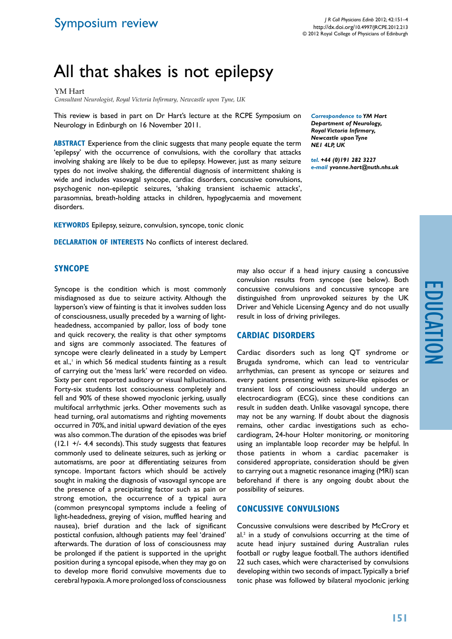*Correspondence to YM Hart Department of Neurology, Royal Victoria Infirmary, Newcastle upon Tyne NE1 4LP, UK*

*tel. +44 (0)191 282 3227 e-mail yvonne.hart@nuth.nhs.uk*

# All that shakes is not epilepsy

YM Hart

*Consultant Neurologist, Royal Victoria Infirmary, Newcastle upon Tyne, UK*

This review is based in part on Dr Hart's lecture at the RCPE Symposium on Neurology in Edinburgh on 16 November 2011.

**abstract** Experience from the clinic suggests that many people equate the term 'epilepsy' with the occurrence of convulsions, with the corollary that attacks involving shaking are likely to be due to epilepsy. However, just as many seizure types do not involve shaking, the differential diagnosis of intermittent shaking is wide and includes vasovagal syncope, cardiac disorders, concussive convulsions, psychogenic non-epileptic seizures, 'shaking transient ischaemic attacks', parasomnias, breath-holding attacks in children, hypoglycaemia and movement disorders.

**KEYWORDS** Epilepsy, seizure, convulsion, syncope, tonic clonic

**DECLARATION OF INTERESTS** No conflicts of interest declared.

#### **Syncope**

Syncope is the condition which is most commonly misdiagnosed as due to seizure activity. Although the layperson's view of fainting is that it involves sudden loss of consciousness, usually preceded by a warning of lightheadedness, accompanied by pallor, loss of body tone and quick recovery, the reality is that other symptoms and signs are commonly associated. The features of syncope were clearly delineated in a study by Lempert et al.,<sup>1</sup> in which 56 medical students fainting as a result of carrying out the 'mess lark' were recorded on video. Sixty per cent reported auditory or visual hallucinations. Forty-six students lost consciousness completely and fell and 90% of these showed myoclonic jerking, usually multifocal arrhythmic jerks. Other movements such as head turning, oral automatisms and righting movements occurred in 70%, and initial upward deviation of the eyes was also common. The duration of the episodes was brief (12.1 +/- 4.4 seconds). This study suggests that features commonly used to delineate seizures, such as jerking or automatisms, are poor at differentiating seizures from syncope. Important factors which should be actively sought in making the diagnosis of vasovagal syncope are the presence of a precipitating factor such as pain or strong emotion, the occurrence of a typical aura (common presyncopal symptoms include a feeling of light-headedness, greying of vision, muffled hearing and nausea), brief duration and the lack of significant postictal confusion, although patients may feel 'drained' afterwards. The duration of loss of consciousness may be prolonged if the patient is supported in the upright position during a syncopal episode, when they may go on to develop more florid convulsive movements due to cerebral hypoxia. A more prolonged loss of consciousness

may also occur if a head injury causing a concussive convulsion results from syncope (see below). Both concussive convulsions and concussive syncope are distinguished from unprovoked seizures by the UK Driver and Vehicle Licensing Agency and do not usually result in loss of driving privileges.

#### **Cardiac disorders**

Cardiac disorders such as long QT syndrome or Brugada syndrome, which can lead to ventricular arrhythmias, can present as syncope or seizures and every patient presenting with seizure-like episodes or transient loss of consciousness should undergo an electrocardiogram (ECG), since these conditions can result in sudden death. Unlike vasovagal syncope, there may not be any warning. If doubt about the diagnosis remains, other cardiac investigations such as echocardiogram, 24-hour Holter monitoring, or monitoring using an implantable loop recorder may be helpful. In those patients in whom a cardiac pacemaker is considered appropriate, consideration should be given to carrying out a magnetic resonance imaging (MRI) scan beforehand if there is any ongoing doubt about the possibility of seizures.

#### **Concussive convulsions**

Concussive convulsions were described by McCrory et al.<sup>2</sup> in a study of convulsions occurring at the time of acute head injury sustained during Australian rules football or rugby league football. The authors identified 22 such cases, which were characterised by convulsions developing within two seconds of impact. Typically a brief tonic phase was followed by bilateral myoclonic jerking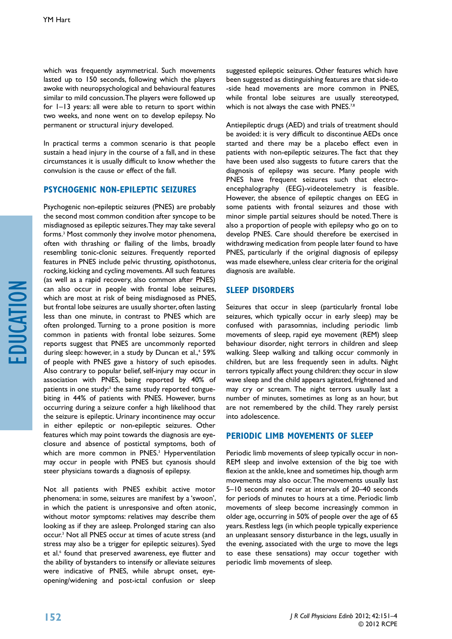which was frequently asymmetrical. Such movements lasted up to 150 seconds, following which the players awoke with neuropsychological and behavioural features similar to mild concussion. The players were followed up for 1–13 years: all were able to return to sport within two weeks, and none went on to develop epilepsy. No permanent or structural injury developed.

In practical terms a common scenario is that people sustain a head injury in the course of a fall, and in these circumstances it is usually difficult to know whether the convulsion is the cause or effect of the fall.

#### **Psychogenic non-epileptic seizures**

Psychogenic non-epileptic seizures (PNES) are probably the second most common condition after syncope to be misdiagnosed as epileptic seizures. They may take several forms.3 Most commonly they involve motor phenomena, often with thrashing or flailing of the limbs, broadly resembling tonic-clonic seizures. Frequently reported features in PNES include pelvic thrusting, opisthotonus, rocking, kicking and cycling movements. All such features (as well as a rapid recovery, also common after PNES) can also occur in people with frontal lobe seizures, which are most at risk of being misdiagnosed as PNES, but frontal lobe seizures are usually shorter, often lasting less than one minute, in contrast to PNES which are often prolonged. Turning to a prone position is more common in patients with frontal lobe seizures. Some reports suggest that PNES are uncommonly reported during sleep: however, in a study by Duncan et al.,<sup>4</sup> 59% of people with PNES gave a history of such episodes. Also contrary to popular belief, self-injury may occur in association with PNES, being reported by 40% of patients in one study:<sup>5</sup> the same study reported tonguebiting in 44% of patients with PNES. However, burns occurring during a seizure confer a high likelihood that the seizure is epileptic. Urinary incontinence may occur in either epileptic or non-epileptic seizures. Other features which may point towards the diagnosis are eyeclosure and absence of postictal symptoms, both of which are more common in PNES.<sup>3</sup> Hyperventilation may occur in people with PNES but cyanosis should steer physicians towards a diagnosis of epilepsy.

Not all patients with PNES exhibit active motor phenomena: in some, seizures are manifest by a 'swoon', in which the patient is unresponsive and often atonic, without motor symptoms: relatives may describe them looking as if they are asleep. Prolonged staring can also occur.3 Not all PNES occur at times of acute stress (and stress may also be a trigger for epileptic seizures). Syed et al.<sup>6</sup> found that preserved awareness, eye flutter and the ability of bystanders to intensify or alleviate seizures were indicative of PNES, while abrupt onset, eyeopening/widening and post-ictal confusion or sleep

suggested epileptic seizures. Other features which have been suggested as distinguishing features are that side-to -side head movements are more common in PNES, while frontal lobe seizures are usually stereotyped, which is not always the case with PNES.<sup>7,8</sup>

Antiepileptic drugs (AED) and trials of treatment should be avoided: it is very difficult to discontinue AEDs once started and there may be a placebo effect even in patients with non-epileptic seizures. The fact that they have been used also suggests to future carers that the diagnosis of epilepsy was secure. Many people with PNES have frequent seizures such that electroencephalography (EEG)-videotelemetry is feasible. However, the absence of epileptic changes on EEG in some patients with frontal seizures and those with minor simple partial seizures should be noted. There is also a proportion of people with epilepsy who go on to develop PNES. Care should therefore be exercised in withdrawing medication from people later found to have PNES, particularly if the original diagnosis of epilepsy was made elsewhere, unless clear criteria for the original diagnosis are available.

#### **Sleep disorders**

Seizures that occur in sleep (particularly frontal lobe seizures, which typically occur in early sleep) may be confused with parasomnias, including periodic limb movements of sleep, rapid eye movement (REM) sleep behaviour disorder, night terrors in children and sleep walking. Sleep walking and talking occur commonly in children, but are less frequently seen in adults. Night terrors typically affect young children: they occur in slow wave sleep and the child appears agitated, frightened and may cry or scream. The night terrors usually last a number of minutes, sometimes as long as an hour, but are not remembered by the child. They rarely persist into adolescence.

#### **Periodic limb movements of sleep**

Periodic limb movements of sleep typically occur in non-REM sleep and involve extension of the big toe with flexion at the ankle, knee and sometimes hip, though arm movements may also occur. The movements usually last 5–10 seconds and recur at intervals of 20–40 seconds for periods of minutes to hours at a time. Periodic limb movements of sleep become increasingly common in older age, occurring in 50% of people over the age of 65 years. Restless legs (in which people typically experience an unpleasant sensory disturbance in the legs, usually in the evening, associated with the urge to move the legs to ease these sensations) may occur together with periodic limb movements of sleep.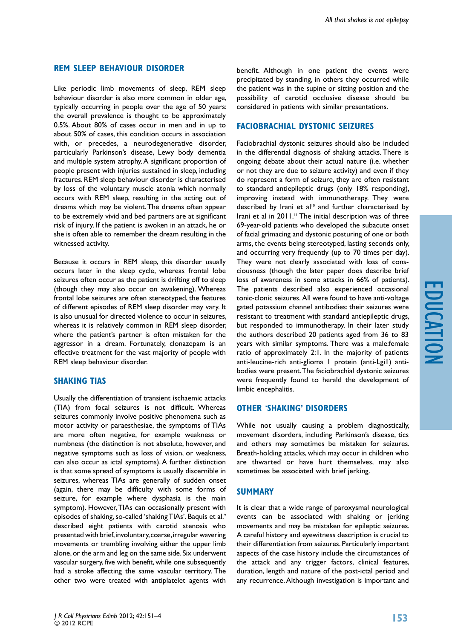#### **REM sleep behaviour disorder**

Like periodic limb movements of sleep, REM sleep behaviour disorder is also more common in older age, typically occurring in people over the age of 50 years: the overall prevalence is thought to be approximately 0.5%. About 80% of cases occur in men and in up to about 50% of cases, this condition occurs in association with, or precedes, a neurodegenerative disorder, particularly Parkinson's disease, Lewy body dementia and multiple system atrophy. A significant proportion of people present with injuries sustained in sleep, including fractures. REM sleep behaviour disorder is characterised by loss of the voluntary muscle atonia which normally occurs with REM sleep, resulting in the acting out of dreams which may be violent. The dreams often appear to be extremely vivid and bed partners are at significant risk of injury. If the patient is awoken in an attack, he or she is often able to remember the dream resulting in the witnessed activity.

Because it occurs in REM sleep, this disorder usually occurs later in the sleep cycle, whereas frontal lobe seizures often occur as the patient is drifting off to sleep (though they may also occur on awakening). Whereas frontal lobe seizures are often stereotyped, the features of different episodes of REM sleep disorder may vary. It is also unusual for directed violence to occur in seizures, whereas it is relatively common in REM sleep disorder, where the patient's partner is often mistaken for the aggressor in a dream. Fortunately, clonazepam is an effective treatment for the vast majority of people with REM sleep behaviour disorder.

#### **Shaking TIAs**

Usually the differentiation of transient ischaemic attacks (TIA) from focal seizures is not difficult. Whereas seizures commonly involve positive phenomena such as motor activity or paraesthesiae, the symptoms of TIAs are more often negative, for example weakness or numbness (the distinction is not absolute, however, and negative symptoms such as loss of vision, or weakness, can also occur as ictal symptoms). A further distinction is that some spread of symptoms is usually discernible in seizures, whereas TIAs are generally of sudden onset (again, there may be difficulty with some forms of seizure, for example where dysphasia is the main symptom). However, TIAs can occasionally present with episodes of shaking, so-called 'shaking TIAs'. Baquis et al.<sup>9</sup> described eight patients with carotid stenosis who presented with brief, involuntary, coarse, irregular wavering movements or trembling involving either the upper limb alone, or the arm and leg on the same side. Six underwent vascular surgery, five with benefit, while one subsequently had a stroke affecting the same vascular territory. The other two were treated with antiplatelet agents with

benefit. Although in one patient the events were precipitated by standing, in others they occurred while the patient was in the supine or sitting position and the possibility of carotid occlusive disease should be considered in patients with similar presentations.

#### **Faciobrachial dystonic seizures**

Faciobrachial dystonic seizures should also be included in the differential diagnosis of shaking attacks. There is ongoing debate about their actual nature (i.e. whether or not they are due to seizure activity) and even if they do represent a form of seizure, they are often resistant to standard antiepileptic drugs (only 18% responding), improving instead with immunotherapy. They were described by Irani et al<sup>10</sup> and further characterised by Irani et al in 2011.<sup>11</sup> The initial description was of three 69-year-old patients who developed the subacute onset of facial grimacing and dystonic posturing of one or both arms, the events being stereotyped, lasting seconds only, and occurring very frequently (up to 70 times per day). They were not clearly associated with loss of consciousness (though the later paper does describe brief loss of awareness in some attacks in 66% of patients). The patients described also experienced occasional tonic-clonic seizures. All were found to have anti-voltage gated potassium channel antibodies: their seizures were resistant to treatment with standard antiepileptic drugs, but responded to immunotherapy. In their later study the authors described 20 patients aged from 36 to 83 years with similar symptoms. There was a male:female ratio of approximately 2:1. In the majority of patients anti-leucine-rich anti-glioma 1 protein (anti-Lgi1) antibodies were present. The faciobrachial dystonic seizures were frequently found to herald the development of limbic encephalitis.

#### **Other** '**shaking' disorders**

While not usually causing a problem diagnostically, movement disorders, including Parkinson's disease, tics and others may sometimes be mistaken for seizures. Breath-holding attacks, which may occur in children who are thwarted or have hurt themselves, may also sometimes be associated with brief jerking.

#### **Summary**

It is clear that a wide range of paroxysmal neurological events can be associated with shaking or jerking movements and may be mistaken for epileptic seizures. A careful history and eyewitness description is crucial to their differentiation from seizures. Particularly important aspects of the case history include the circumstances of the attack and any trigger factors, clinical features, duration, length and nature of the post-ictal period and any recurrence. Although investigation is important and